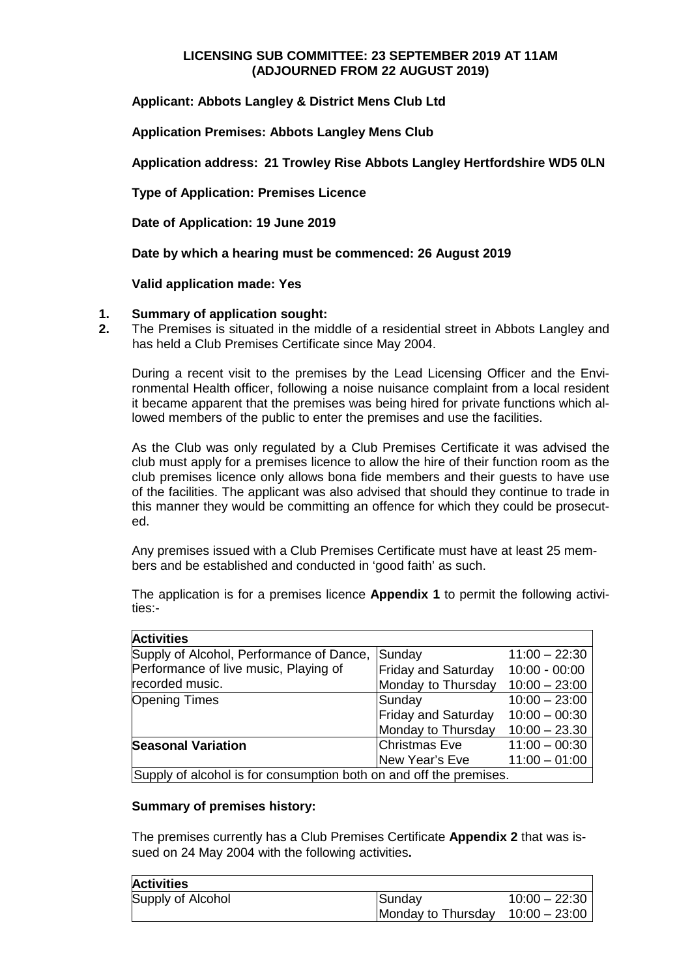# **LICENSING SUB COMMITTEE: 23 SEPTEMBER 2019 AT 11AM (ADJOURNED FROM 22 AUGUST 2019)**

**Applicant: Abbots Langley & District Mens Club Ltd**

**Application Premises: Abbots Langley Mens Club**

**Application address: 21 Trowley Rise Abbots Langley Hertfordshire WD5 0LN**

**Type of Application: Premises Licence**

**Date of Application: 19 June 2019**

**Date by which a hearing must be commenced: 26 August 2019**

**Valid application made: Yes**

### **1. Summary of application sought:**

**2.** The Premises is situated in the middle of a residential street in Abbots Langley and has held a Club Premises Certificate since May 2004.

During a recent visit to the premises by the Lead Licensing Officer and the Environmental Health officer, following a noise nuisance complaint from a local resident it became apparent that the premises was being hired for private functions which allowed members of the public to enter the premises and use the facilities.

As the Club was only regulated by a Club Premises Certificate it was advised the club must apply for a premises licence to allow the hire of their function room as the club premises licence only allows bona fide members and their guests to have use of the facilities. The applicant was also advised that should they continue to trade in this manner they would be committing an offence for which they could be prosecuted.

Any premises issued with a Club Premises Certificate must have at least 25 members and be established and conducted in 'good faith' as such.

The application is for a premises licence **Appendix 1** to permit the following activities:-

| <b>Activities</b>                                                  |                            |                 |  |
|--------------------------------------------------------------------|----------------------------|-----------------|--|
| Supply of Alcohol, Performance of Dance,                           | Sunday                     | $11:00 - 22:30$ |  |
| Performance of live music, Playing of                              | <b>Friday and Saturday</b> | $10:00 - 00:00$ |  |
| recorded music.                                                    | Monday to Thursday         | $10:00 - 23:00$ |  |
| <b>Opening Times</b>                                               | Sunday                     | $10:00 - 23:00$ |  |
|                                                                    | <b>Friday and Saturday</b> | $10:00 - 00:30$ |  |
|                                                                    | Monday to Thursday         | $10:00 - 23.30$ |  |
| <b>Seasonal Variation</b>                                          | Christmas Eve              | $11:00 - 00:30$ |  |
|                                                                    | New Year's Eve             | $11:00 - 01:00$ |  |
| Supply of alcohol is for consumption both on and off the premises. |                            |                 |  |

### **Summary of premises history:**

The premises currently has a Club Premises Certificate **Appendix 2** that was issued on 24 May 2004 with the following activities**.**

| <b>Activities</b> |                    |                 |
|-------------------|--------------------|-----------------|
| Supply of Alcohol | <b>ISundav</b>     | $10:00 - 22:30$ |
|                   | Monday to Thursday | $10:00 - 23:00$ |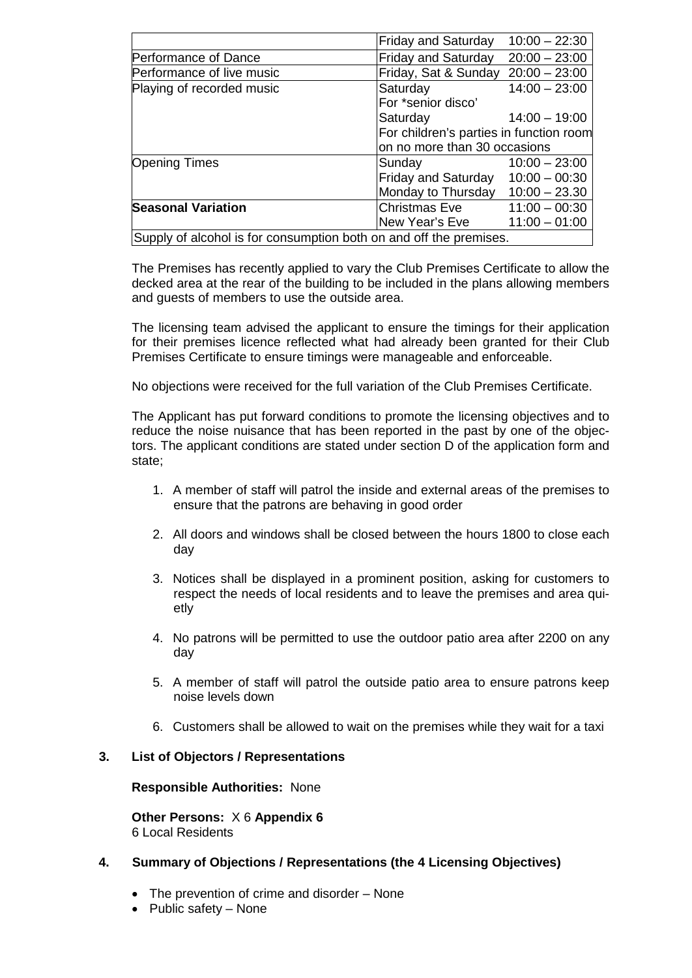|                                                                    | <b>Friday and Saturday</b>                                              | $10:00 - 22:30$ |
|--------------------------------------------------------------------|-------------------------------------------------------------------------|-----------------|
| Performance of Dance                                               | <b>Friday and Saturday</b>                                              | $20:00 - 23:00$ |
| Performance of live music                                          | Friday, Sat & Sunday                                                    | $20:00 - 23:00$ |
| Playing of recorded music                                          | Saturday                                                                | $14:00 - 23:00$ |
|                                                                    | For *senior disco'                                                      |                 |
|                                                                    | Saturday                                                                | $14:00 - 19:00$ |
|                                                                    | For children's parties in function room<br>on no more than 30 occasions |                 |
|                                                                    |                                                                         |                 |
| <b>Opening Times</b>                                               | Sunday                                                                  | $10:00 - 23:00$ |
|                                                                    | Friday and Saturday                                                     | $10:00 - 00:30$ |
|                                                                    | Monday to Thursday                                                      | $10:00 - 23.30$ |
| <b>Seasonal Variation</b>                                          | Christmas Eve                                                           | $11:00 - 00:30$ |
|                                                                    | New Year's Eve                                                          | $11:00 - 01:00$ |
| Supply of alcohol is for consumption both on and off the premises. |                                                                         |                 |

The Premises has recently applied to vary the Club Premises Certificate to allow the decked area at the rear of the building to be included in the plans allowing members and guests of members to use the outside area.

The licensing team advised the applicant to ensure the timings for their application for their premises licence reflected what had already been granted for their Club Premises Certificate to ensure timings were manageable and enforceable.

No objections were received for the full variation of the Club Premises Certificate.

The Applicant has put forward conditions to promote the licensing objectives and to reduce the noise nuisance that has been reported in the past by one of the objectors. The applicant conditions are stated under section D of the application form and state;

- 1. A member of staff will patrol the inside and external areas of the premises to ensure that the patrons are behaving in good order
- 2. All doors and windows shall be closed between the hours 1800 to close each day
- 3. Notices shall be displayed in a prominent position, asking for customers to respect the needs of local residents and to leave the premises and area quietly
- 4. No patrons will be permitted to use the outdoor patio area after 2200 on any day
- 5. A member of staff will patrol the outside patio area to ensure patrons keep noise levels down
- 6. Customers shall be allowed to wait on the premises while they wait for a taxi

### **3. List of Objectors / Representations**

**Responsible Authorities:** None

**Other Persons:** X 6 **Appendix 6** 6 Local Residents

## **4. Summary of Objections / Representations (the 4 Licensing Objectives)**

- The prevention of crime and disorder None
- Public safety None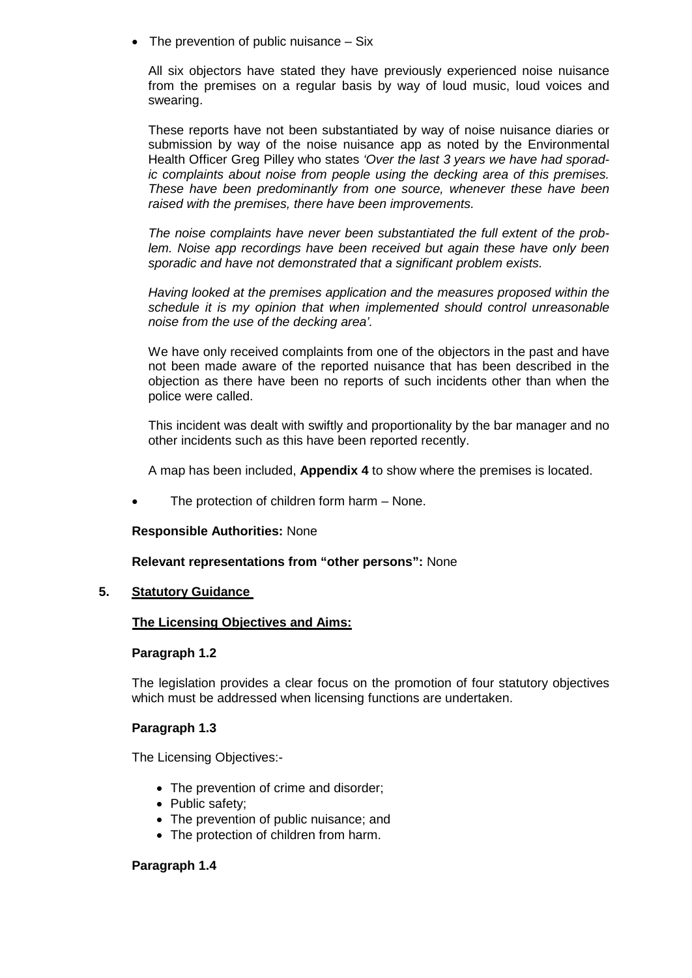• The prevention of public nuisance – Six

All six objectors have stated they have previously experienced noise nuisance from the premises on a regular basis by way of loud music, loud voices and swearing.

These reports have not been substantiated by way of noise nuisance diaries or submission by way of the noise nuisance app as noted by the Environmental Health Officer Greg Pilley who states *'Over the last 3 years we have had sporadic complaints about noise from people using the decking area of this premises. These have been predominantly from one source, whenever these have been raised with the premises, there have been improvements.*

*The noise complaints have never been substantiated the full extent of the problem. Noise app recordings have been received but again these have only been sporadic and have not demonstrated that a significant problem exists.*

*Having looked at the premises application and the measures proposed within the schedule it is my opinion that when implemented should control unreasonable noise from the use of the decking area'.*

We have only received complaints from one of the objectors in the past and have not been made aware of the reported nuisance that has been described in the objection as there have been no reports of such incidents other than when the police were called.

This incident was dealt with swiftly and proportionality by the bar manager and no other incidents such as this have been reported recently.

A map has been included, **Appendix 4** to show where the premises is located.

The protection of children form harm - None.

### **Responsible Authorities:** None

## **Relevant representations from "other persons":** None

## **5. Statutory Guidance**

### **The Licensing Objectives and Aims:**

### **Paragraph 1.2**

The legislation provides a clear focus on the promotion of four statutory objectives which must be addressed when licensing functions are undertaken.

### **Paragraph 1.3**

The Licensing Objectives:-

- The prevention of crime and disorder;
- Public safety;
- The prevention of public nuisance; and
- The protection of children from harm.

### **Paragraph 1.4**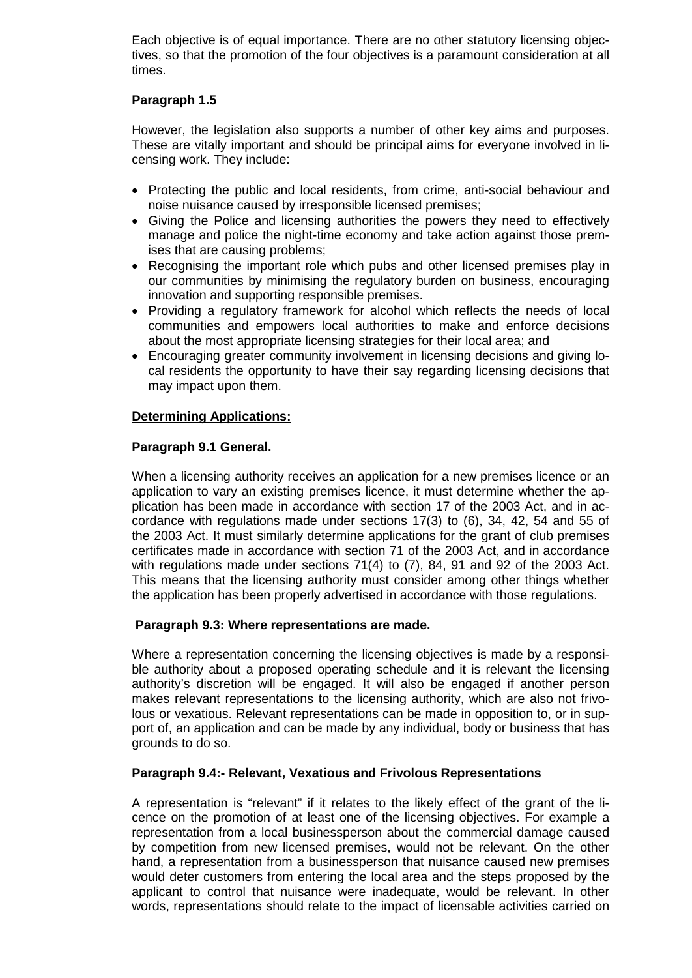Each objective is of equal importance. There are no other statutory licensing objectives, so that the promotion of the four objectives is a paramount consideration at all times.

# **Paragraph 1.5**

However, the legislation also supports a number of other key aims and purposes. These are vitally important and should be principal aims for everyone involved in licensing work. They include:

- Protecting the public and local residents, from crime, anti-social behaviour and noise nuisance caused by irresponsible licensed premises;
- Giving the Police and licensing authorities the powers they need to effectively manage and police the night-time economy and take action against those premises that are causing problems;
- Recognising the important role which pubs and other licensed premises play in our communities by minimising the regulatory burden on business, encouraging innovation and supporting responsible premises.
- Providing a regulatory framework for alcohol which reflects the needs of local communities and empowers local authorities to make and enforce decisions about the most appropriate licensing strategies for their local area; and
- Encouraging greater community involvement in licensing decisions and giving local residents the opportunity to have their say regarding licensing decisions that may impact upon them.

## **Determining Applications:**

## **Paragraph 9.1 General.**

When a licensing authority receives an application for a new premises licence or an application to vary an existing premises licence, it must determine whether the application has been made in accordance with section 17 of the 2003 Act, and in accordance with regulations made under sections 17(3) to (6), 34, 42, 54 and 55 of the 2003 Act. It must similarly determine applications for the grant of club premises certificates made in accordance with section 71 of the 2003 Act, and in accordance with regulations made under sections 71(4) to (7), 84, 91 and 92 of the 2003 Act. This means that the licensing authority must consider among other things whether the application has been properly advertised in accordance with those regulations.

## **Paragraph 9.3: Where representations are made.**

Where a representation concerning the licensing objectives is made by a responsible authority about a proposed operating schedule and it is relevant the licensing authority's discretion will be engaged. It will also be engaged if another person makes relevant representations to the licensing authority, which are also not frivolous or vexatious. Relevant representations can be made in opposition to, or in support of, an application and can be made by any individual, body or business that has grounds to do so.

## **Paragraph 9.4:- Relevant, Vexatious and Frivolous Representations**

A representation is "relevant" if it relates to the likely effect of the grant of the licence on the promotion of at least one of the licensing objectives. For example a representation from a local businessperson about the commercial damage caused by competition from new licensed premises, would not be relevant. On the other hand, a representation from a businessperson that nuisance caused new premises would deter customers from entering the local area and the steps proposed by the applicant to control that nuisance were inadequate, would be relevant. In other words, representations should relate to the impact of licensable activities carried on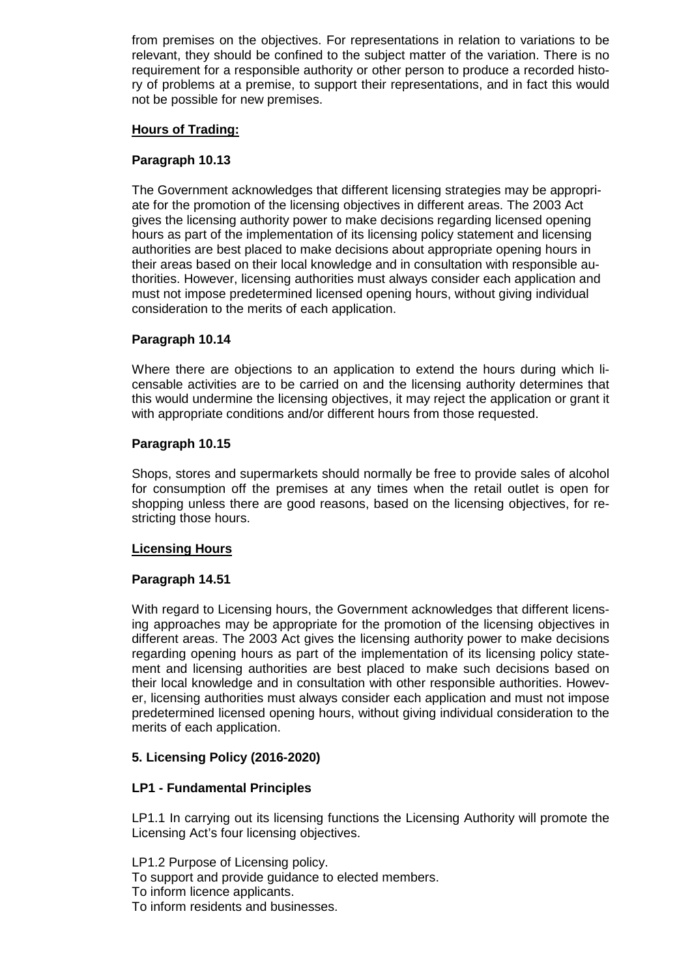from premises on the objectives. For representations in relation to variations to be relevant, they should be confined to the subject matter of the variation. There is no requirement for a responsible authority or other person to produce a recorded history of problems at a premise, to support their representations, and in fact this would not be possible for new premises.

## **Hours of Trading:**

## **Paragraph 10.13**

The Government acknowledges that different licensing strategies may be appropriate for the promotion of the licensing objectives in different areas. The 2003 Act gives the licensing authority power to make decisions regarding licensed opening hours as part of the implementation of its licensing policy statement and licensing authorities are best placed to make decisions about appropriate opening hours in their areas based on their local knowledge and in consultation with responsible authorities. However, licensing authorities must always consider each application and must not impose predetermined licensed opening hours, without giving individual consideration to the merits of each application.

## **Paragraph 10.14**

Where there are objections to an application to extend the hours during which licensable activities are to be carried on and the licensing authority determines that this would undermine the licensing objectives, it may reject the application or grant it with appropriate conditions and/or different hours from those requested.

### **Paragraph 10.15**

Shops, stores and supermarkets should normally be free to provide sales of alcohol for consumption off the premises at any times when the retail outlet is open for shopping unless there are good reasons, based on the licensing objectives, for restricting those hours.

### **Licensing Hours**

## **Paragraph 14.51**

With regard to Licensing hours, the Government acknowledges that different licensing approaches may be appropriate for the promotion of the licensing objectives in different areas. The 2003 Act gives the licensing authority power to make decisions regarding opening hours as part of the implementation of its licensing policy statement and licensing authorities are best placed to make such decisions based on their local knowledge and in consultation with other responsible authorities. However, licensing authorities must always consider each application and must not impose predetermined licensed opening hours, without giving individual consideration to the merits of each application.

## **5. Licensing Policy (2016-2020)**

## **LP1 - Fundamental Principles**

LP1.1 In carrying out its licensing functions the Licensing Authority will promote the Licensing Act's four licensing objectives.

LP1.2 Purpose of Licensing policy. To support and provide guidance to elected members. To inform licence applicants. To inform residents and businesses.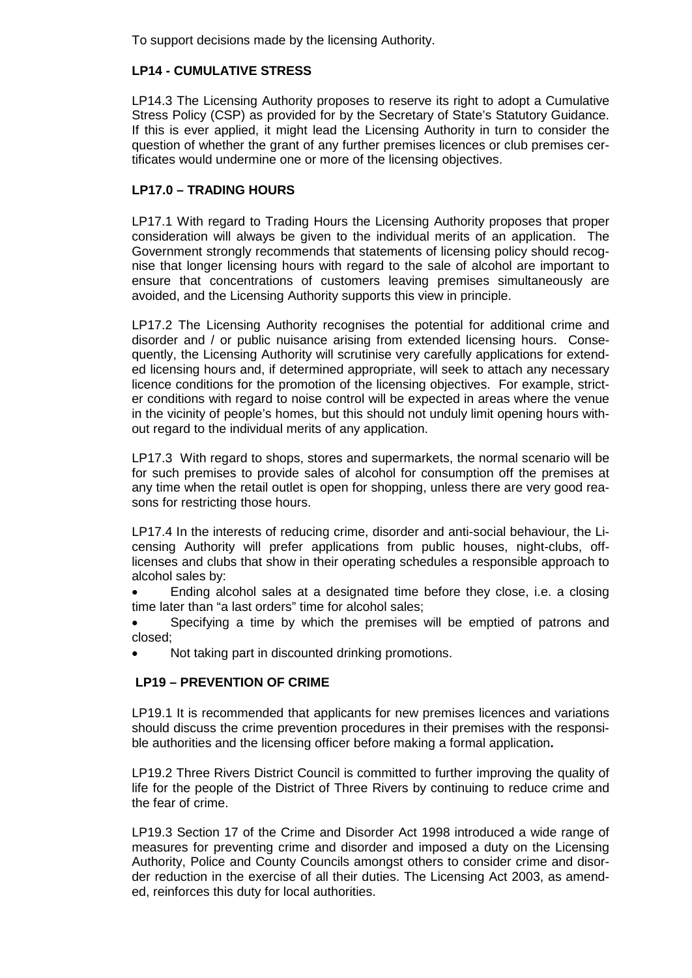To support decisions made by the licensing Authority.

# **LP14 - CUMULATIVE STRESS**

LP14.3 The Licensing Authority proposes to reserve its right to adopt a Cumulative Stress Policy (CSP) as provided for by the Secretary of State's Statutory Guidance. If this is ever applied, it might lead the Licensing Authority in turn to consider the question of whether the grant of any further premises licences or club premises certificates would undermine one or more of the licensing objectives.

# **LP17.0 – TRADING HOURS**

LP17.1 With regard to Trading Hours the Licensing Authority proposes that proper consideration will always be given to the individual merits of an application. The Government strongly recommends that statements of licensing policy should recognise that longer licensing hours with regard to the sale of alcohol are important to ensure that concentrations of customers leaving premises simultaneously are avoided, and the Licensing Authority supports this view in principle.

LP17.2 The Licensing Authority recognises the potential for additional crime and disorder and / or public nuisance arising from extended licensing hours. Consequently, the Licensing Authority will scrutinise very carefully applications for extended licensing hours and, if determined appropriate, will seek to attach any necessary licence conditions for the promotion of the licensing objectives. For example, stricter conditions with regard to noise control will be expected in areas where the venue in the vicinity of people's homes, but this should not unduly limit opening hours without regard to the individual merits of any application.

LP17.3 With regard to shops, stores and supermarkets, the normal scenario will be for such premises to provide sales of alcohol for consumption off the premises at any time when the retail outlet is open for shopping, unless there are very good reasons for restricting those hours.

LP17.4 In the interests of reducing crime, disorder and anti-social behaviour, the Licensing Authority will prefer applications from public houses, night-clubs, offlicenses and clubs that show in their operating schedules a responsible approach to alcohol sales by:

• Ending alcohol sales at a designated time before they close, i.e. a closing time later than "a last orders" time for alcohol sales;

• Specifying a time by which the premises will be emptied of patrons and closed;

• Not taking part in discounted drinking promotions.

# **LP19 – PREVENTION OF CRIME**

LP19.1 It is recommended that applicants for new premises licences and variations should discuss the crime prevention procedures in their premises with the responsible authorities and the licensing officer before making a formal application**.**

LP19.2 Three Rivers District Council is committed to further improving the quality of life for the people of the District of Three Rivers by continuing to reduce crime and the fear of crime.

LP19.3 Section 17 of the Crime and Disorder Act 1998 introduced a wide range of measures for preventing crime and disorder and imposed a duty on the Licensing Authority, Police and County Councils amongst others to consider crime and disorder reduction in the exercise of all their duties. The Licensing Act 2003, as amended, reinforces this duty for local authorities.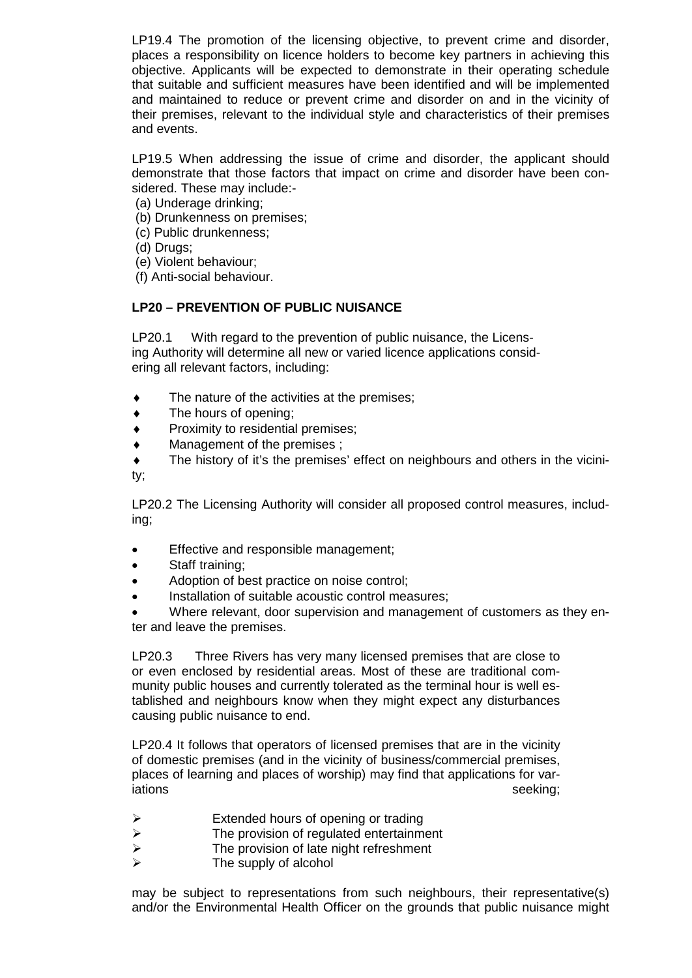LP19.4 The promotion of the licensing objective, to prevent crime and disorder, places a responsibility on licence holders to become key partners in achieving this objective. Applicants will be expected to demonstrate in their operating schedule that suitable and sufficient measures have been identified and will be implemented and maintained to reduce or prevent crime and disorder on and in the vicinity of their premises, relevant to the individual style and characteristics of their premises and events.

LP19.5 When addressing the issue of crime and disorder, the applicant should demonstrate that those factors that impact on crime and disorder have been considered. These may include:-

- (a) Underage drinking;
- (b) Drunkenness on premises;
- (c) Public drunkenness;
- (d) Drugs;
- (e) Violent behaviour;
- (f) Anti-social behaviour.

## **LP20 – PREVENTION OF PUBLIC NUISANCE**

LP20.1 With regard to the prevention of public nuisance, the Licensing Authority will determine all new or varied licence applications considering all relevant factors, including:

- $\bullet$  The nature of the activities at the premises;
- ♦ The hours of opening;
- Proximity to residential premises;
- Management of the premises ;
- The history of it's the premises' effect on neighbours and others in the vicinity;

LP20.2 The Licensing Authority will consider all proposed control measures, including;

- Effective and responsible management;
- Staff training;
- Adoption of best practice on noise control;
- Installation of suitable acoustic control measures;

• Where relevant, door supervision and management of customers as they enter and leave the premises.

LP20.3 Three Rivers has very many licensed premises that are close to or even enclosed by residential areas. Most of these are traditional community public houses and currently tolerated as the terminal hour is well established and neighbours know when they might expect any disturbances causing public nuisance to end.

LP20.4 It follows that operators of licensed premises that are in the vicinity of domestic premises (and in the vicinity of business/commercial premises, places of learning and places of worship) may find that applications for variations seeking; and the settlement of the seeking; and the seeking; and the seeking;

- Extended hours of opening or trading<br>
Fine provision of regulated entertainment
- $\triangleright$  The provision of regulated entertainment<br> $\triangleright$  The provision of late night refreshment
- $\triangleright$  The provision of late night refreshment<br> $\triangleright$  The supply of alcohol
- The supply of alcohol

may be subject to representations from such neighbours, their representative(s) and/or the Environmental Health Officer on the grounds that public nuisance might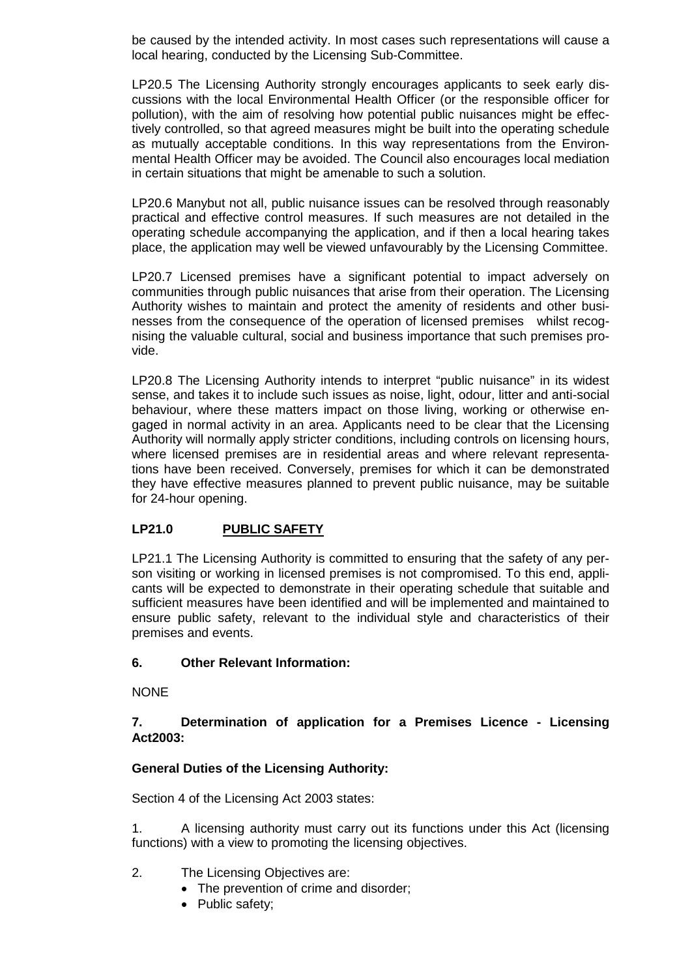be caused by the intended activity. In most cases such representations will cause a local hearing, conducted by the Licensing Sub-Committee.

LP20.5 The Licensing Authority strongly encourages applicants to seek early discussions with the local Environmental Health Officer (or the responsible officer for pollution), with the aim of resolving how potential public nuisances might be effectively controlled, so that agreed measures might be built into the operating schedule as mutually acceptable conditions. In this way representations from the Environmental Health Officer may be avoided. The Council also encourages local mediation in certain situations that might be amenable to such a solution.

LP20.6 Manybut not all, public nuisance issues can be resolved through reasonably practical and effective control measures. If such measures are not detailed in the operating schedule accompanying the application, and if then a local hearing takes place, the application may well be viewed unfavourably by the Licensing Committee.

LP20.7 Licensed premises have a significant potential to impact adversely on communities through public nuisances that arise from their operation. The Licensing Authority wishes to maintain and protect the amenity of residents and other businesses from the consequence of the operation of licensed premises whilst recognising the valuable cultural, social and business importance that such premises provide.

LP20.8 The Licensing Authority intends to interpret "public nuisance" in its widest sense, and takes it to include such issues as noise, light, odour, litter and anti-social behaviour, where these matters impact on those living, working or otherwise engaged in normal activity in an area. Applicants need to be clear that the Licensing Authority will normally apply stricter conditions, including controls on licensing hours, where licensed premises are in residential areas and where relevant representations have been received. Conversely, premises for which it can be demonstrated they have effective measures planned to prevent public nuisance, may be suitable for 24-hour opening.

# **LP21.0 PUBLIC SAFETY**

LP21.1 The Licensing Authority is committed to ensuring that the safety of any person visiting or working in licensed premises is not compromised. To this end, applicants will be expected to demonstrate in their operating schedule that suitable and sufficient measures have been identified and will be implemented and maintained to ensure public safety, relevant to the individual style and characteristics of their premises and events.

# **6. Other Relevant Information:**

**NONE** 

# **7. Determination of application for a Premises Licence - Licensing Act2003:**

# **General Duties of the Licensing Authority:**

Section 4 of the Licensing Act 2003 states:

1. A licensing authority must carry out its functions under this Act (licensing functions) with a view to promoting the licensing objectives.

- 2. The Licensing Objectives are:
	- The prevention of crime and disorder;
	- Public safety;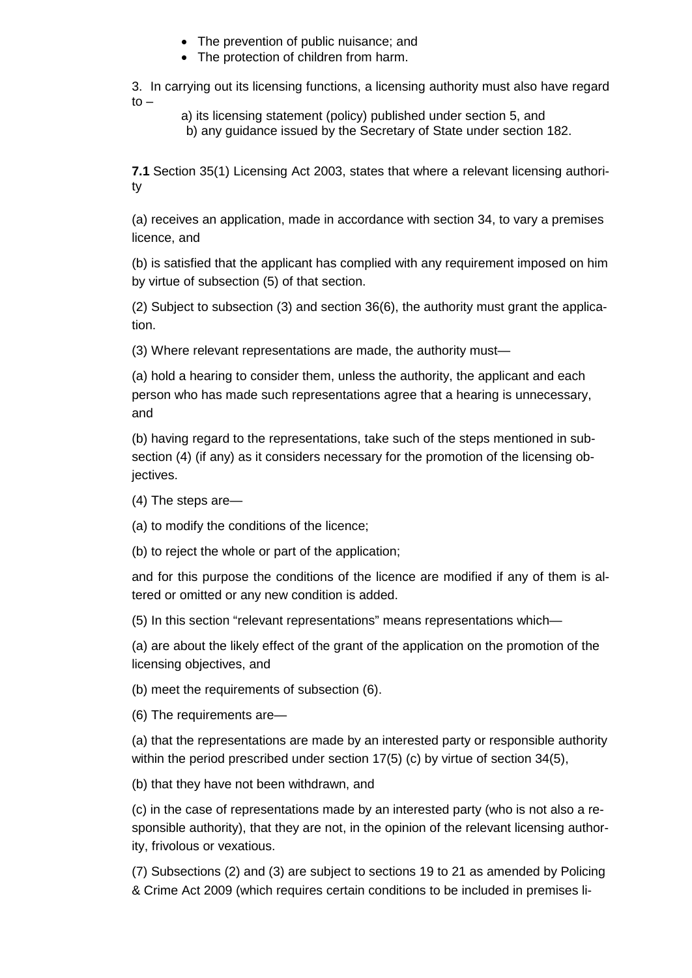- The prevention of public nuisance; and
- The protection of children from harm.

3. In carrying out its licensing functions, a licensing authority must also have regard  $to -$ 

a) its licensing statement (policy) published under section 5, and

b) any guidance issued by the Secretary of State under section 182.

**7.1** Section 35(1) Licensing Act 2003, states that where a relevant licensing authority

(a) receives an application, made in accordance with section 34, to vary a premises licence, and

(b) is satisfied that the applicant has complied with any requirement imposed on him by virtue of subsection (5) of that section.

(2) Subject to subsection (3) and section 36(6), the authority must grant the application.

(3) Where relevant representations are made, the authority must—

(a) hold a hearing to consider them, unless the authority, the applicant and each person who has made such representations agree that a hearing is unnecessary, and

(b) having regard to the representations, take such of the steps mentioned in subsection (4) (if any) as it considers necessary for the promotion of the licensing objectives.

(4) The steps are—

(a) to modify the conditions of the licence;

(b) to reject the whole or part of the application;

and for this purpose the conditions of the licence are modified if any of them is altered or omitted or any new condition is added.

(5) In this section "relevant representations" means representations which—

(a) are about the likely effect of the grant of the application on the promotion of the licensing objectives, and

(b) meet the requirements of subsection (6).

(6) The requirements are—

(a) that the representations are made by an interested party or responsible authority within the period prescribed under section 17(5) (c) by virtue of section 34(5),

(b) that they have not been withdrawn, and

(c) in the case of representations made by an interested party (who is not also a responsible authority), that they are not, in the opinion of the relevant licensing authority, frivolous or vexatious.

(7) Subsections (2) and (3) are subject to sections 19 to 21 as amended by Policing & Crime Act 2009 (which requires certain conditions to be included in premises li